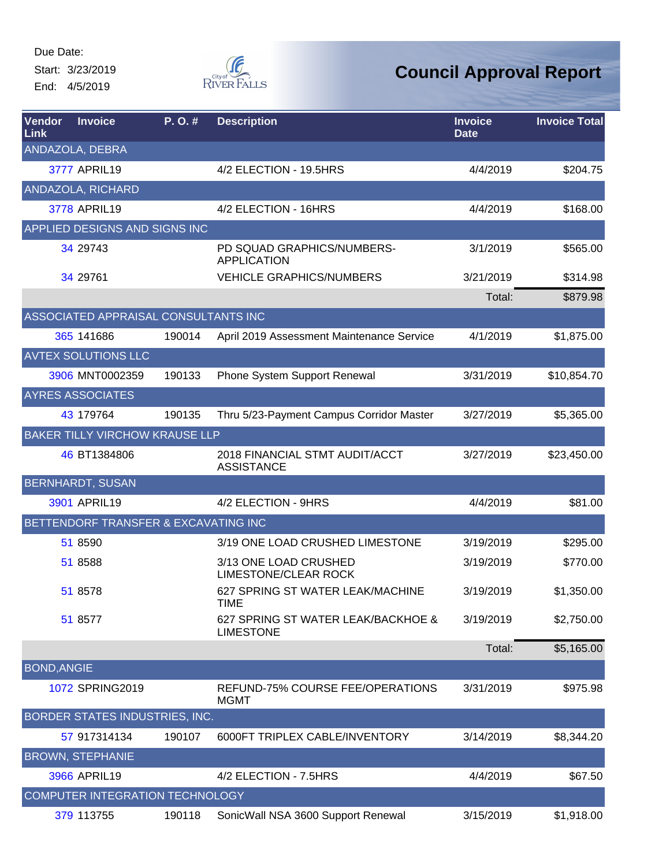Start: 3/23/2019 End: 4/5/2019



| Vendor<br>Link     | <b>Invoice</b>                        | P.O.#  | <b>Description</b>                                     | <b>Invoice</b><br><b>Date</b> | <b>Invoice Total</b> |
|--------------------|---------------------------------------|--------|--------------------------------------------------------|-------------------------------|----------------------|
|                    | ANDAZOLA, DEBRA                       |        |                                                        |                               |                      |
|                    | 3777 APRIL19                          |        | 4/2 ELECTION - 19.5HRS                                 | 4/4/2019                      | \$204.75             |
|                    | ANDAZOLA, RICHARD                     |        |                                                        |                               |                      |
|                    | 3778 APRIL19                          |        | 4/2 ELECTION - 16HRS                                   | 4/4/2019                      | \$168.00             |
|                    | APPLIED DESIGNS AND SIGNS INC         |        |                                                        |                               |                      |
|                    | 34 29743                              |        | PD SQUAD GRAPHICS/NUMBERS-<br><b>APPLICATION</b>       | 3/1/2019                      | \$565.00             |
|                    | 34 29761                              |        | <b>VEHICLE GRAPHICS/NUMBERS</b>                        | 3/21/2019                     | \$314.98             |
|                    |                                       |        |                                                        | Total:                        | \$879.98             |
|                    | ASSOCIATED APPRAISAL CONSULTANTS INC  |        |                                                        |                               |                      |
|                    | 365 141686                            | 190014 | April 2019 Assessment Maintenance Service              | 4/1/2019                      | \$1,875.00           |
|                    | <b>AVTEX SOLUTIONS LLC</b>            |        |                                                        |                               |                      |
|                    | 3906 MNT0002359                       | 190133 | Phone System Support Renewal                           | 3/31/2019                     | \$10,854.70          |
|                    | <b>AYRES ASSOCIATES</b>               |        |                                                        |                               |                      |
|                    | 43 179764                             | 190135 | Thru 5/23-Payment Campus Corridor Master               | 3/27/2019                     | \$5,365.00           |
|                    | <b>BAKER TILLY VIRCHOW KRAUSE LLP</b> |        |                                                        |                               |                      |
|                    | 46 BT1384806                          |        | 2018 FINANCIAL STMT AUDIT/ACCT<br><b>ASSISTANCE</b>    | 3/27/2019                     | \$23,450.00          |
|                    | <b>BERNHARDT, SUSAN</b>               |        |                                                        |                               |                      |
|                    | 3901 APRIL19                          |        | 4/2 ELECTION - 9HRS                                    | 4/4/2019                      | \$81.00              |
|                    | BETTENDORF TRANSFER & EXCAVATING INC  |        |                                                        |                               |                      |
|                    | 51 8590                               |        | 3/19 ONE LOAD CRUSHED LIMESTONE                        | 3/19/2019                     | \$295.00             |
|                    | 51 8588                               |        | 3/13 ONE LOAD CRUSHED<br><b>LIMESTONE/CLEAR ROCK</b>   | 3/19/2019                     | \$770.00             |
|                    | 51 8578                               |        | 627 SPRING ST WATER LEAK/MACHINE<br><b>IIME</b>        | 3/19/2019                     | \$1,350.00           |
|                    | 51 8577                               |        | 627 SPRING ST WATER LEAK/BACKHOE &<br><b>LIMESTONE</b> | 3/19/2019                     | \$2,750.00           |
|                    |                                       |        |                                                        | Total:                        | \$5,165.00           |
| <b>BOND, ANGIE</b> |                                       |        |                                                        |                               |                      |
|                    | 1072 SPRING2019                       |        | REFUND-75% COURSE FEE/OPERATIONS<br><b>MGMT</b>        | 3/31/2019                     | \$975.98             |
|                    | BORDER STATES INDUSTRIES, INC.        |        |                                                        |                               |                      |
|                    | 57 917314134                          | 190107 | 6000FT TRIPLEX CABLE/INVENTORY                         | 3/14/2019                     | \$8,344.20           |
|                    | <b>BROWN, STEPHANIE</b>               |        |                                                        |                               |                      |
|                    | 3966 APRIL19                          |        | 4/2 ELECTION - 7.5HRS                                  | 4/4/2019                      | \$67.50              |
|                    | COMPUTER INTEGRATION TECHNOLOGY       |        |                                                        |                               |                      |
|                    | 379 113755                            | 190118 | SonicWall NSA 3600 Support Renewal                     | 3/15/2019                     | \$1,918.00           |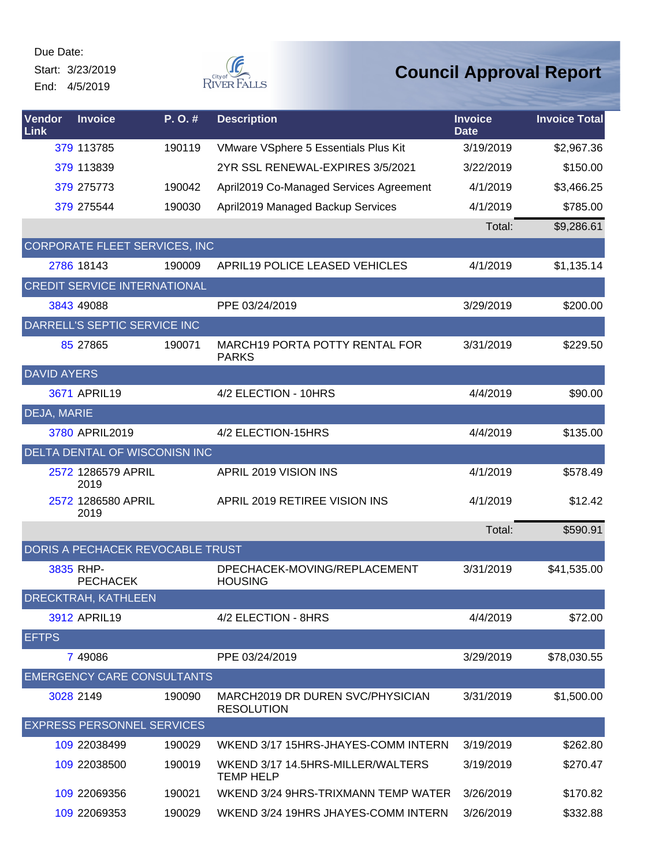Start: 3/23/2019 End: 4/5/2019



| Vendor<br>Link     | <b>Invoice</b>                      | P. O. # | <b>Description</b>                                    | <b>Invoice</b><br><b>Date</b> | <b>Invoice Total</b> |
|--------------------|-------------------------------------|---------|-------------------------------------------------------|-------------------------------|----------------------|
|                    | 379 113785                          | 190119  | VMware VSphere 5 Essentials Plus Kit                  | 3/19/2019                     | \$2,967.36           |
|                    | 379 113839                          |         | 2YR SSL RENEWAL-EXPIRES 3/5/2021                      | 3/22/2019                     | \$150.00             |
|                    | 379 275773                          | 190042  | April2019 Co-Managed Services Agreement               | 4/1/2019                      | \$3,466.25           |
|                    | 379 275544                          | 190030  | April2019 Managed Backup Services                     | 4/1/2019                      | \$785.00             |
|                    |                                     |         |                                                       | Total:                        | \$9,286.61           |
|                    | CORPORATE FLEET SERVICES, INC       |         |                                                       |                               |                      |
|                    | 2786 18143                          | 190009  | <b>APRIL19 POLICE LEASED VEHICLES</b>                 | 4/1/2019                      | \$1,135.14           |
|                    | <b>CREDIT SERVICE INTERNATIONAL</b> |         |                                                       |                               |                      |
|                    | 3843 49088                          |         | PPE 03/24/2019                                        | 3/29/2019                     | \$200.00             |
|                    | DARRELL'S SEPTIC SERVICE INC        |         |                                                       |                               |                      |
|                    | 85 27865                            | 190071  | MARCH19 PORTA POTTY RENTAL FOR<br><b>PARKS</b>        | 3/31/2019                     | \$229.50             |
| <b>DAVID AYERS</b> |                                     |         |                                                       |                               |                      |
|                    | 3671 APRIL19                        |         | 4/2 ELECTION - 10HRS                                  | 4/4/2019                      | \$90.00              |
| DEJA, MARIE        |                                     |         |                                                       |                               |                      |
|                    | 3780 APRIL2019                      |         | 4/2 ELECTION-15HRS                                    | 4/4/2019                      | \$135.00             |
|                    | DELTA DENTAL OF WISCONISN INC       |         |                                                       |                               |                      |
|                    | 2572 1286579 APRIL<br>2019          |         | APRIL 2019 VISION INS                                 | 4/1/2019                      | \$578.49             |
|                    | 2572 1286580 APRIL<br>2019          |         | APRIL 2019 RETIREE VISION INS                         | 4/1/2019                      | \$12.42              |
|                    |                                     |         |                                                       | Total:                        | \$590.91             |
|                    | DORIS A PECHACEK REVOCABLE TRUST    |         |                                                       |                               |                      |
|                    | 3835 RHP-<br><b>PECHACEK</b>        |         | DPECHACEK-MOVING/REPLACEMENT<br><b>HOUSING</b>        | 3/31/2019                     | \$41,535.00          |
|                    | DRECKTRAH, KATHLEEN                 |         |                                                       |                               |                      |
|                    | 3912 APRIL19                        |         | 4/2 ELECTION - 8HRS                                   | 4/4/2019                      | \$72.00              |
| <b>EFTPS</b>       |                                     |         |                                                       |                               |                      |
|                    | 7 49086                             |         | PPE 03/24/2019                                        | 3/29/2019                     | \$78,030.55          |
|                    | <b>EMERGENCY CARE CONSULTANTS</b>   |         |                                                       |                               |                      |
|                    | 3028 2149                           | 190090  | MARCH2019 DR DUREN SVC/PHYSICIAN<br><b>RESOLUTION</b> | 3/31/2019                     | \$1,500.00           |
|                    | <b>EXPRESS PERSONNEL SERVICES</b>   |         |                                                       |                               |                      |
|                    | 109 22038499                        | 190029  | WKEND 3/17 15HRS-JHAYES-COMM INTERN                   | 3/19/2019                     | \$262.80             |
|                    | 109 22038500                        | 190019  | WKEND 3/17 14.5HRS-MILLER/WALTERS<br><b>TEMP HELP</b> | 3/19/2019                     | \$270.47             |
|                    | 109 22069356                        | 190021  | WKEND 3/24 9HRS-TRIXMANN TEMP WATER                   | 3/26/2019                     | \$170.82             |
|                    | 109 22069353                        | 190029  | WKEND 3/24 19HRS JHAYES-COMM INTERN                   | 3/26/2019                     | \$332.88             |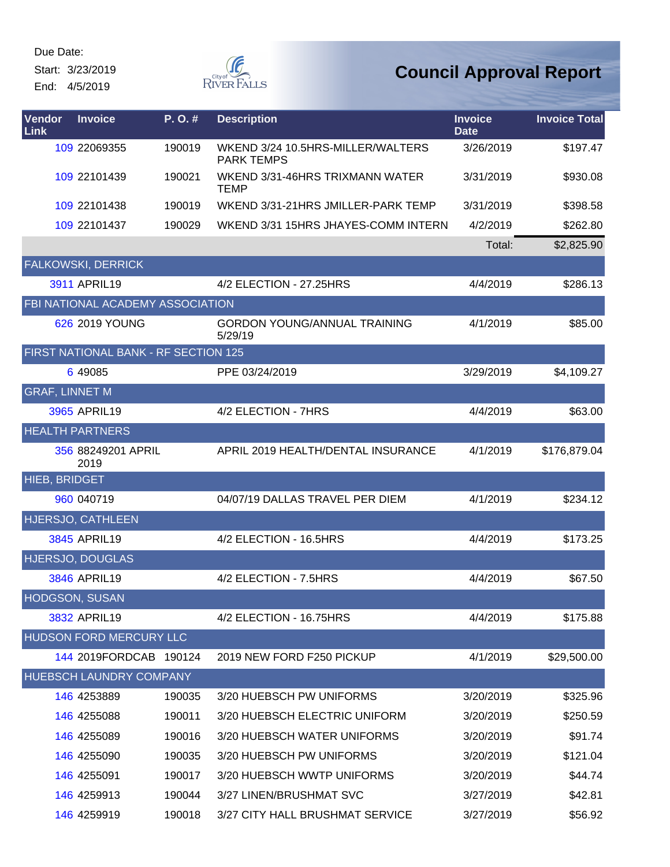Start: 3/23/2019 End: 4/5/2019



| <b>Vendor</b><br>Link | <b>Invoice</b>                       | P. O. # | <b>Description</b>                                     | <b>Invoice</b><br><b>Date</b> | <b>Invoice Total</b> |
|-----------------------|--------------------------------------|---------|--------------------------------------------------------|-------------------------------|----------------------|
|                       | 109 22069355                         | 190019  | WKEND 3/24 10.5HRS-MILLER/WALTERS<br><b>PARK TEMPS</b> | 3/26/2019                     | \$197.47             |
|                       | 109 22101439                         | 190021  | WKEND 3/31-46HRS TRIXMANN WATER<br><b>TEMP</b>         | 3/31/2019                     | \$930.08             |
|                       | 109 22101438                         | 190019  | WKEND 3/31-21HRS JMILLER-PARK TEMP                     | 3/31/2019                     | \$398.58             |
|                       | 109 22101437                         | 190029  | WKEND 3/31 15HRS JHAYES-COMM INTERN                    | 4/2/2019                      | \$262.80             |
|                       |                                      |         |                                                        | Total:                        | \$2,825.90           |
|                       | <b>FALKOWSKI, DERRICK</b>            |         |                                                        |                               |                      |
|                       | 3911 APRIL19                         |         | 4/2 ELECTION - 27.25HRS                                | 4/4/2019                      | \$286.13             |
|                       | FBI NATIONAL ACADEMY ASSOCIATION     |         |                                                        |                               |                      |
|                       | 626 2019 YOUNG                       |         | <b>GORDON YOUNG/ANNUAL TRAINING</b><br>5/29/19         | 4/1/2019                      | \$85.00              |
|                       | FIRST NATIONAL BANK - RF SECTION 125 |         |                                                        |                               |                      |
|                       | 6 49085                              |         | PPE 03/24/2019                                         | 3/29/2019                     | \$4,109.27           |
| <b>GRAF, LINNET M</b> |                                      |         |                                                        |                               |                      |
|                       | 3965 APRIL19                         |         | 4/2 ELECTION - 7HRS                                    | 4/4/2019                      | \$63.00              |
|                       | <b>HEALTH PARTNERS</b>               |         |                                                        |                               |                      |
|                       | 356 88249201 APRIL<br>2019           |         | APRIL 2019 HEALTH/DENTAL INSURANCE                     | 4/1/2019                      | \$176,879.04         |
| <b>HIEB, BRIDGET</b>  |                                      |         |                                                        |                               |                      |
|                       | 960 040719                           |         | 04/07/19 DALLAS TRAVEL PER DIEM                        | 4/1/2019                      | \$234.12             |
|                       | <b>HJERSJO, CATHLEEN</b>             |         |                                                        |                               |                      |
|                       | 3845 APRIL19                         |         | 4/2 ELECTION - 16.5HRS                                 | 4/4/2019                      | \$173.25             |
|                       | HJERSJO, DOUGLAS                     |         |                                                        |                               |                      |
|                       | 3846 APRIL19                         |         | 4/2 ELECTION - 7.5HRS                                  | 4/4/2019                      | \$67.50              |
| <b>HODGSON, SUSAN</b> |                                      |         |                                                        |                               |                      |
|                       | 3832 APRIL19                         |         | 4/2 ELECTION - 16.75HRS                                | 4/4/2019                      | \$175.88             |
|                       | HUDSON FORD MERCURY LLC              |         |                                                        |                               |                      |
|                       | 144 2019FORDCAB 190124               |         | 2019 NEW FORD F250 PICKUP                              | 4/1/2019                      | \$29,500.00          |
|                       | <b>HUEBSCH LAUNDRY COMPANY</b>       |         |                                                        |                               |                      |
|                       | 146 4253889                          | 190035  | 3/20 HUEBSCH PW UNIFORMS                               | 3/20/2019                     | \$325.96             |
|                       | 146 4255088                          | 190011  | 3/20 HUEBSCH ELECTRIC UNIFORM                          | 3/20/2019                     | \$250.59             |
|                       | 146 4255089                          | 190016  | 3/20 HUEBSCH WATER UNIFORMS                            | 3/20/2019                     | \$91.74              |
|                       | 146 4255090                          | 190035  | 3/20 HUEBSCH PW UNIFORMS                               | 3/20/2019                     | \$121.04             |
|                       | 146 4255091                          | 190017  | 3/20 HUEBSCH WWTP UNIFORMS                             | 3/20/2019                     | \$44.74              |
|                       | 146 4259913                          | 190044  | 3/27 LINEN/BRUSHMAT SVC                                | 3/27/2019                     | \$42.81              |
|                       | 146 4259919                          | 190018  | 3/27 CITY HALL BRUSHMAT SERVICE                        | 3/27/2019                     | \$56.92              |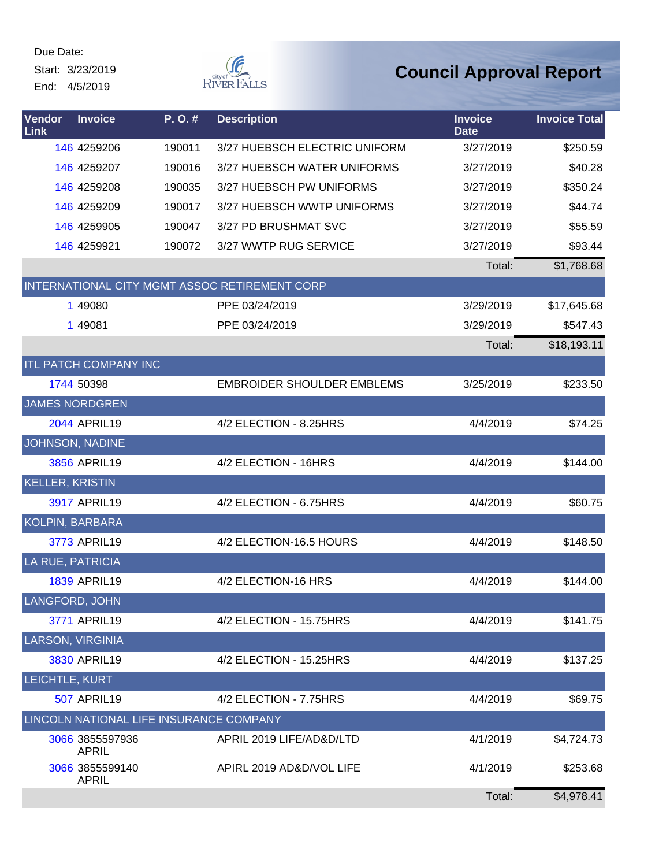Start: 3/23/2019 End: 4/5/2019



| Vendor<br>Link         | <b>Invoice</b>                  | P.O.#                                   | <b>Description</b>                            | <b>Invoice</b><br><b>Date</b> | <b>Invoice Total</b> |
|------------------------|---------------------------------|-----------------------------------------|-----------------------------------------------|-------------------------------|----------------------|
|                        | 146 4259206                     | 190011                                  | 3/27 HUEBSCH ELECTRIC UNIFORM                 | 3/27/2019                     | \$250.59             |
|                        | 146 4259207                     | 190016                                  | 3/27 HUEBSCH WATER UNIFORMS                   | 3/27/2019                     | \$40.28              |
|                        | 146 4259208                     | 190035                                  | 3/27 HUEBSCH PW UNIFORMS                      | 3/27/2019                     | \$350.24             |
|                        | 146 4259209                     | 190017                                  | 3/27 HUEBSCH WWTP UNIFORMS                    | 3/27/2019                     | \$44.74              |
|                        | 146 4259905                     | 190047                                  | 3/27 PD BRUSHMAT SVC                          | 3/27/2019                     | \$55.59              |
|                        | 146 4259921                     | 190072                                  | 3/27 WWTP RUG SERVICE                         | 3/27/2019                     | \$93.44              |
|                        |                                 |                                         |                                               | Total:                        | \$1,768.68           |
|                        |                                 |                                         | INTERNATIONAL CITY MGMT ASSOC RETIREMENT CORP |                               |                      |
|                        | 1 49080                         |                                         | PPE 03/24/2019                                | 3/29/2019                     | \$17,645.68          |
|                        | 1 49081                         |                                         | PPE 03/24/2019                                | 3/29/2019                     | \$547.43             |
|                        |                                 |                                         |                                               | Total:                        | \$18,193.11          |
|                        | <b>ITL PATCH COMPANY INC</b>    |                                         |                                               |                               |                      |
|                        | 1744 50398                      |                                         | <b>EMBROIDER SHOULDER EMBLEMS</b>             | 3/25/2019                     | \$233.50             |
|                        | <b>JAMES NORDGREN</b>           |                                         |                                               |                               |                      |
|                        | <b>2044 APRIL19</b>             |                                         | 4/2 ELECTION - 8.25HRS                        | 4/4/2019                      | \$74.25              |
|                        | JOHNSON, NADINE                 |                                         |                                               |                               |                      |
|                        | 3856 APRIL19                    |                                         | 4/2 ELECTION - 16HRS                          | 4/4/2019                      | \$144.00             |
| <b>KELLER, KRISTIN</b> |                                 |                                         |                                               |                               |                      |
|                        | 3917 APRIL19                    |                                         | 4/2 ELECTION - 6.75HRS                        | 4/4/2019                      | \$60.75              |
| KOLPIN, BARBARA        |                                 |                                         |                                               |                               |                      |
|                        | 3773 APRIL19                    |                                         | 4/2 ELECTION-16.5 HOURS                       | 4/4/2019                      | \$148.50             |
| LA RUE, PATRICIA       |                                 |                                         |                                               |                               |                      |
|                        | <b>1839 APRIL19</b>             |                                         | 4/2 ELECTION-16 HRS                           | 4/4/2019                      | \$144.00             |
| LANGFORD, JOHN         |                                 |                                         |                                               |                               |                      |
|                        | 3771 APRIL19                    |                                         | 4/2 ELECTION - 15.75HRS                       | 4/4/2019                      | \$141.75             |
| LARSON, VIRGINIA       |                                 |                                         |                                               |                               |                      |
|                        | 3830 APRIL19                    |                                         | 4/2 ELECTION - 15.25HRS                       | 4/4/2019                      | \$137.25             |
| LEICHTLE, KURT         |                                 |                                         |                                               |                               |                      |
|                        | <b>507 APRIL19</b>              |                                         | 4/2 ELECTION - 7.75HRS                        | 4/4/2019                      | \$69.75              |
|                        |                                 | LINCOLN NATIONAL LIFE INSURANCE COMPANY |                                               |                               |                      |
|                        | 3066 3855597936<br><b>APRIL</b> |                                         | APRIL 2019 LIFE/AD&D/LTD                      | 4/1/2019                      | \$4,724.73           |
|                        | 3066 3855599140<br><b>APRIL</b> |                                         | APIRL 2019 AD&D/VOL LIFE                      | 4/1/2019                      | \$253.68             |
|                        |                                 |                                         |                                               | Total:                        | \$4,978.41           |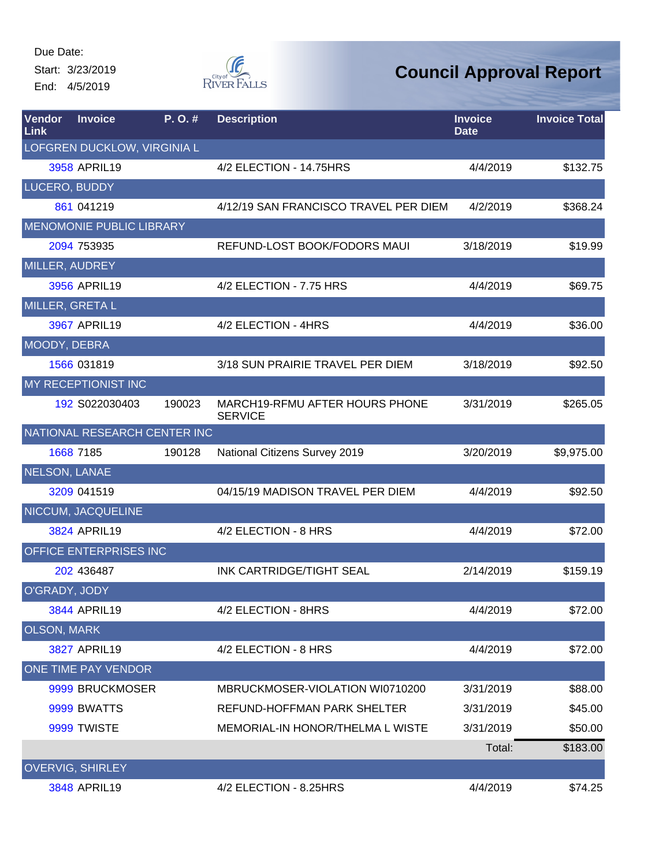Start: 3/23/2019 End: 4/5/2019



| Vendor<br>Link     | <b>Invoice</b>              | P.O.#                        | <b>Description</b>                               | <b>Invoice</b><br><b>Date</b> | <b>Invoice Total</b> |
|--------------------|-----------------------------|------------------------------|--------------------------------------------------|-------------------------------|----------------------|
|                    | LOFGREN DUCKLOW, VIRGINIA L |                              |                                                  |                               |                      |
|                    | 3958 APRIL19                |                              | 4/2 ELECTION - 14.75HRS                          | 4/4/2019                      | \$132.75             |
| LUCERO, BUDDY      |                             |                              |                                                  |                               |                      |
|                    | 861 041219                  |                              | 4/12/19 SAN FRANCISCO TRAVEL PER DIEM            | 4/2/2019                      | \$368.24             |
|                    | MENOMONIE PUBLIC LIBRARY    |                              |                                                  |                               |                      |
|                    | 2094 753935                 |                              | REFUND-LOST BOOK/FODORS MAUI                     | 3/18/2019                     | \$19.99              |
| MILLER, AUDREY     |                             |                              |                                                  |                               |                      |
|                    | 3956 APRIL19                |                              | 4/2 ELECTION - 7.75 HRS                          | 4/4/2019                      | \$69.75              |
| MILLER, GRETA L    |                             |                              |                                                  |                               |                      |
|                    | 3967 APRIL19                |                              | 4/2 ELECTION - 4HRS                              | 4/4/2019                      | \$36.00              |
| MOODY, DEBRA       |                             |                              |                                                  |                               |                      |
|                    | 1566 031819                 |                              | 3/18 SUN PRAIRIE TRAVEL PER DIEM                 | 3/18/2019                     | \$92.50              |
|                    | <b>MY RECEPTIONIST INC</b>  |                              |                                                  |                               |                      |
|                    | 192 S022030403              | 190023                       | MARCH19-RFMU AFTER HOURS PHONE<br><b>SERVICE</b> | 3/31/2019                     | \$265.05             |
|                    |                             | NATIONAL RESEARCH CENTER INC |                                                  |                               |                      |
|                    | 1668 7185                   | 190128                       | National Citizens Survey 2019                    | 3/20/2019                     | \$9,975.00           |
| NELSON, LANAE      |                             |                              |                                                  |                               |                      |
|                    | 3209 041519                 |                              | 04/15/19 MADISON TRAVEL PER DIEM                 | 4/4/2019                      | \$92.50              |
|                    | NICCUM, JACQUELINE          |                              |                                                  |                               |                      |
|                    | 3824 APRIL19                |                              | 4/2 ELECTION - 8 HRS                             | 4/4/2019                      | \$72.00              |
|                    | OFFICE ENTERPRISES INC      |                              |                                                  |                               |                      |
|                    | 202 436487                  |                              | INK CARTRIDGE/TIGHT SEAL                         | 2/14/2019                     | \$159.19             |
| O'GRADY, JODY      |                             |                              |                                                  |                               |                      |
|                    | 3844 APRIL19                |                              | 4/2 ELECTION - 8HRS                              | 4/4/2019                      | \$72.00              |
| <b>OLSON, MARK</b> |                             |                              |                                                  |                               |                      |
|                    | 3827 APRIL19                |                              | 4/2 ELECTION - 8 HRS                             | 4/4/2019                      | \$72.00              |
|                    | ONE TIME PAY VENDOR         |                              |                                                  |                               |                      |
|                    | 9999 BRUCKMOSER             |                              | MBRUCKMOSER-VIOLATION WI0710200                  | 3/31/2019                     | \$88.00              |
|                    | 9999 BWATTS                 |                              | REFUND-HOFFMAN PARK SHELTER                      | 3/31/2019                     | \$45.00              |
|                    | 9999 TWISTE                 |                              | <b>MEMORIAL-IN HONOR/THELMA L WISTE</b>          | 3/31/2019                     | \$50.00              |
|                    |                             |                              |                                                  | Total:                        | \$183.00             |
|                    | <b>OVERVIG, SHIRLEY</b>     |                              |                                                  |                               |                      |
|                    | 3848 APRIL19                |                              | 4/2 ELECTION - 8.25HRS                           | 4/4/2019                      | \$74.25              |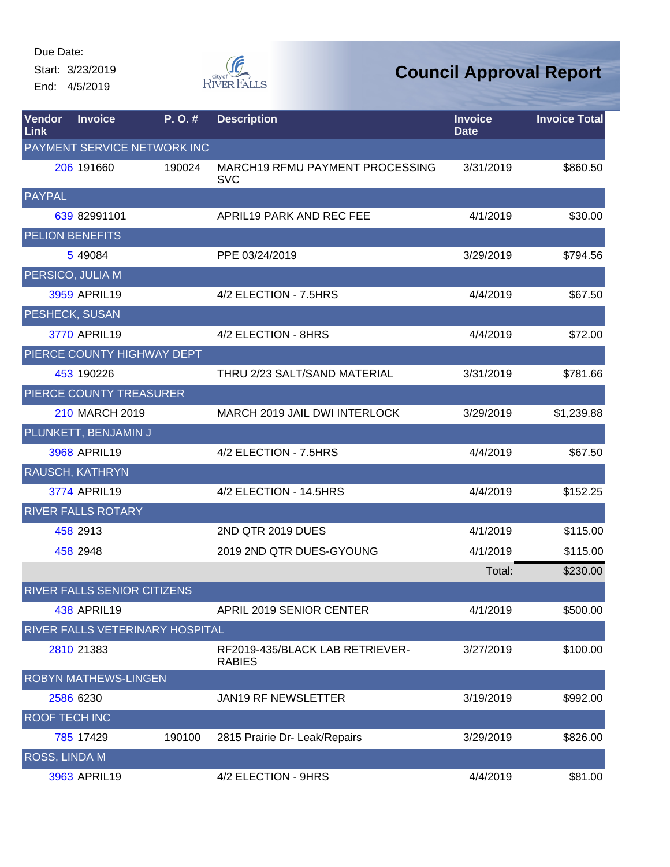Start: 3/23/2019 End: 4/5/2019



| Vendor<br>Link       | <b>Invoice</b>              | P.O.#                              | <b>Description</b>                               | <b>Invoice</b><br><b>Date</b> | <b>Invoice Total</b> |
|----------------------|-----------------------------|------------------------------------|--------------------------------------------------|-------------------------------|----------------------|
|                      |                             | <b>PAYMENT SERVICE NETWORK INC</b> |                                                  |                               |                      |
|                      | 206 191660                  | 190024                             | MARCH19 RFMU PAYMENT PROCESSING<br><b>SVC</b>    | 3/31/2019                     | \$860.50             |
| <b>PAYPAL</b>        |                             |                                    |                                                  |                               |                      |
|                      | 639 82991101                |                                    | APRIL19 PARK AND REC FEE                         | 4/1/2019                      | \$30.00              |
|                      | <b>PELION BENEFITS</b>      |                                    |                                                  |                               |                      |
|                      | 5 49084                     |                                    | PPE 03/24/2019                                   | 3/29/2019                     | \$794.56             |
|                      | PERSICO, JULIA M            |                                    |                                                  |                               |                      |
|                      | 3959 APRIL19                |                                    | 4/2 ELECTION - 7.5HRS                            | 4/4/2019                      | \$67.50              |
|                      | PESHECK, SUSAN              |                                    |                                                  |                               |                      |
|                      | 3770 APRIL19                |                                    | 4/2 ELECTION - 8HRS                              | 4/4/2019                      | \$72.00              |
|                      |                             | PIERCE COUNTY HIGHWAY DEPT         |                                                  |                               |                      |
|                      | 453 190226                  |                                    | THRU 2/23 SALT/SAND MATERIAL                     | 3/31/2019                     | \$781.66             |
|                      | PIERCE COUNTY TREASURER     |                                    |                                                  |                               |                      |
|                      | 210 MARCH 2019              |                                    | MARCH 2019 JAIL DWI INTERLOCK                    | 3/29/2019                     | \$1,239.88           |
|                      | PLUNKETT, BENJAMIN J        |                                    |                                                  |                               |                      |
|                      | 3968 APRIL19                |                                    | 4/2 ELECTION - 7.5HRS                            | 4/4/2019                      | \$67.50              |
|                      | RAUSCH, KATHRYN             |                                    |                                                  |                               |                      |
|                      | 3774 APRIL19                |                                    | 4/2 ELECTION - 14.5HRS                           | 4/4/2019                      | \$152.25             |
|                      | <b>RIVER FALLS ROTARY</b>   |                                    |                                                  |                               |                      |
|                      | 458 2913                    |                                    | 2ND QTR 2019 DUES                                | 4/1/2019                      | \$115.00             |
|                      | 458 2948                    |                                    | 2019 2ND QTR DUES-GYOUNG                         | 4/1/2019                      | \$115.00             |
|                      |                             |                                    |                                                  | Total:                        | \$230.00             |
|                      |                             | RIVER FALLS SENIOR CITIZENS        |                                                  |                               |                      |
|                      | <b>438 APRIL19</b>          |                                    | APRIL 2019 SENIOR CENTER                         | 4/1/2019                      | \$500.00             |
|                      |                             | RIVER FALLS VETERINARY HOSPITAL    |                                                  |                               |                      |
|                      | 2810 21383                  |                                    | RF2019-435/BLACK LAB RETRIEVER-<br><b>RABIES</b> | 3/27/2019                     | \$100.00             |
|                      | <b>ROBYN MATHEWS-LINGEN</b> |                                    |                                                  |                               |                      |
|                      | 2586 6230                   |                                    | JAN19 RF NEWSLETTER                              | 3/19/2019                     | \$992.00             |
| <b>ROOF TECH INC</b> |                             |                                    |                                                  |                               |                      |
|                      | 785 17429                   | 190100                             | 2815 Prairie Dr- Leak/Repairs                    | 3/29/2019                     | \$826.00             |
| ROSS, LINDA M        |                             |                                    |                                                  |                               |                      |
|                      | 3963 APRIL19                |                                    | 4/2 ELECTION - 9HRS                              | 4/4/2019                      | \$81.00              |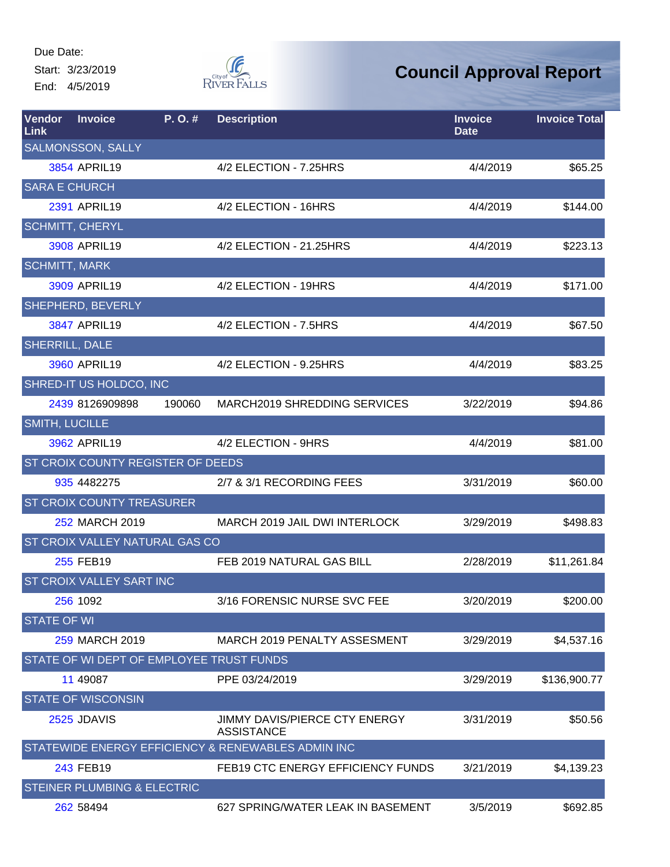Due Date: Start: 3/23/2019 End: 4/5/2019



| Vendor<br><b>Link</b> | <b>Invoice</b>                         | P.O.#  | <b>Description</b>                                 | <b>Invoice</b><br><b>Date</b> | <b>Invoice Total</b> |
|-----------------------|----------------------------------------|--------|----------------------------------------------------|-------------------------------|----------------------|
|                       | <b>SALMONSSON, SALLY</b>               |        |                                                    |                               |                      |
|                       | 3854 APRIL19                           |        | 4/2 ELECTION - 7.25HRS                             | 4/4/2019                      | \$65.25              |
| <b>SARA E CHURCH</b>  |                                        |        |                                                    |                               |                      |
|                       | 2391 APRIL19                           |        | 4/2 ELECTION - 16HRS                               | 4/4/2019                      | \$144.00             |
|                       | <b>SCHMITT, CHERYL</b>                 |        |                                                    |                               |                      |
|                       | 3908 APRIL19                           |        | 4/2 ELECTION - 21.25HRS                            | 4/4/2019                      | \$223.13             |
| <b>SCHMITT, MARK</b>  |                                        |        |                                                    |                               |                      |
|                       | 3909 APRIL19                           |        | 4/2 ELECTION - 19HRS                               | 4/4/2019                      | \$171.00             |
|                       | SHEPHERD, BEVERLY                      |        |                                                    |                               |                      |
|                       | 3847 APRIL19                           |        | 4/2 ELECTION - 7.5HRS                              | 4/4/2019                      | \$67.50              |
| SHERRILL, DALE        |                                        |        |                                                    |                               |                      |
|                       | 3960 APRIL19                           |        | 4/2 ELECTION - 9.25HRS                             | 4/4/2019                      | \$83.25              |
|                       | SHRED-IT US HOLDCO, INC                |        |                                                    |                               |                      |
|                       | 2439 8126909898                        | 190060 | MARCH2019 SHREDDING SERVICES                       | 3/22/2019                     | \$94.86              |
| <b>SMITH, LUCILLE</b> |                                        |        |                                                    |                               |                      |
|                       | 3962 APRIL19                           |        | 4/2 ELECTION - 9HRS                                | 4/4/2019                      | \$81.00              |
|                       | ST CROIX COUNTY REGISTER OF DEEDS      |        |                                                    |                               |                      |
|                       | 935 4482275                            |        | 2/7 & 3/1 RECORDING FEES                           | 3/31/2019                     | \$60.00              |
|                       | <b>ST CROIX COUNTY TREASURER</b>       |        |                                                    |                               |                      |
|                       | 252 MARCH 2019                         |        | MARCH 2019 JAIL DWI INTERLOCK                      | 3/29/2019                     | \$498.83             |
|                       | <b>ST CROIX VALLEY NATURAL GAS CO</b>  |        |                                                    |                               |                      |
|                       | 255 FEB19                              |        | FEB 2019 NATURAL GAS BILL                          | 2/28/2019                     | \$11,261.84          |
|                       | ST CROIX VALLEY SART INC               |        |                                                    |                               |                      |
|                       | 256 1092                               |        | 3/16 FORENSIC NURSE SVC FEE                        | 3/20/2019                     | \$200.00             |
| <b>STATE OF WI</b>    |                                        |        |                                                    |                               |                      |
|                       | 259 MARCH 2019                         |        | MARCH 2019 PENALTY ASSESMENT                       | 3/29/2019                     | \$4,537.16           |
|                       |                                        |        | STATE OF WI DEPT OF EMPLOYEE TRUST FUNDS           |                               |                      |
|                       | 11 49087                               |        | PPE 03/24/2019                                     | 3/29/2019                     | \$136,900.77         |
|                       | <b>STATE OF WISCONSIN</b>              |        |                                                    |                               |                      |
|                       | 2525 JDAVIS                            |        | JIMMY DAVIS/PIERCE CTY ENERGY<br><b>ASSISTANCE</b> | 3/31/2019                     | \$50.56              |
|                       |                                        |        | STATEWIDE ENERGY EFFICIENCY & RENEWABLES ADMIN INC |                               |                      |
|                       | 243 FEB19                              |        | FEB19 CTC ENERGY EFFICIENCY FUNDS                  | 3/21/2019                     | \$4,139.23           |
|                       | <b>STEINER PLUMBING &amp; ELECTRIC</b> |        |                                                    |                               |                      |
|                       | 262 58494                              |        | 627 SPRING/WATER LEAK IN BASEMENT                  | 3/5/2019                      | \$692.85             |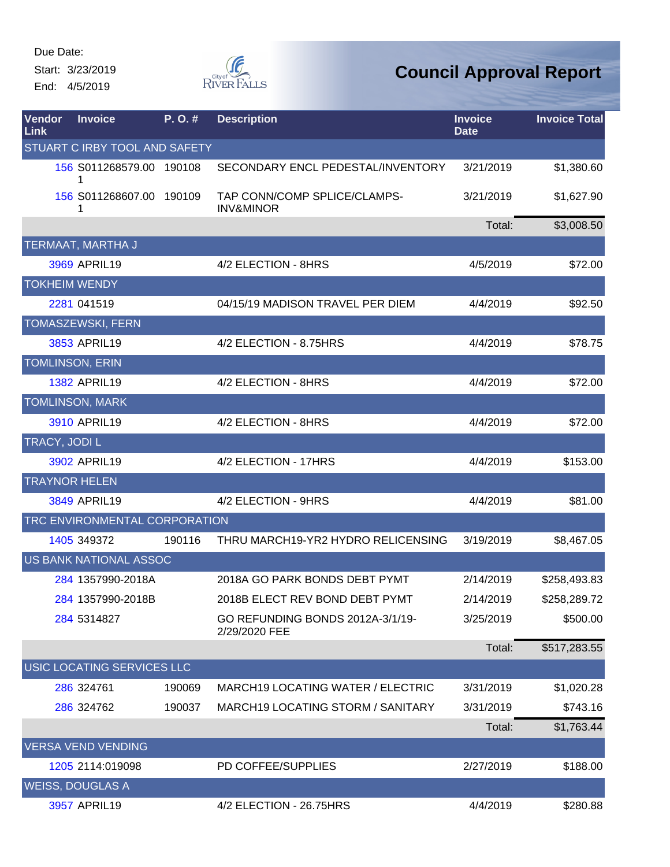Start: 3/23/2019 End: 4/5/2019



| Vendor<br><b>Link</b>         | <b>Invoice</b>                | P.O.#  | <b>Description</b>                                   | <b>Invoice</b><br><b>Date</b> | <b>Invoice Total</b> |  |  |  |
|-------------------------------|-------------------------------|--------|------------------------------------------------------|-------------------------------|----------------------|--|--|--|
| STUART C IRBY TOOL AND SAFETY |                               |        |                                                      |                               |                      |  |  |  |
|                               | 156 S011268579.00 190108      |        | SECONDARY ENCL PEDESTAL/INVENTORY                    | 3/21/2019                     | \$1,380.60           |  |  |  |
|                               | 156 S011268607.00 190109<br>1 |        | TAP CONN/COMP SPLICE/CLAMPS-<br><b>INV&amp;MINOR</b> | 3/21/2019                     | \$1,627.90           |  |  |  |
|                               |                               |        |                                                      | Total:                        | \$3,008.50           |  |  |  |
|                               | TERMAAT, MARTHA J             |        |                                                      |                               |                      |  |  |  |
|                               | 3969 APRIL19                  |        | 4/2 ELECTION - 8HRS                                  | 4/5/2019                      | \$72.00              |  |  |  |
|                               | <b>TOKHEIM WENDY</b>          |        |                                                      |                               |                      |  |  |  |
|                               | 2281 041519                   |        | 04/15/19 MADISON TRAVEL PER DIEM                     | 4/4/2019                      | \$92.50              |  |  |  |
|                               | <b>TOMASZEWSKI, FERN</b>      |        |                                                      |                               |                      |  |  |  |
|                               | 3853 APRIL19                  |        | 4/2 ELECTION - 8.75HRS                               | 4/4/2019                      | \$78.75              |  |  |  |
|                               | <b>TOMLINSON, ERIN</b>        |        |                                                      |                               |                      |  |  |  |
|                               | <b>1382 APRIL19</b>           |        | 4/2 ELECTION - 8HRS                                  | 4/4/2019                      | \$72.00              |  |  |  |
|                               | <b>TOMLINSON, MARK</b>        |        |                                                      |                               |                      |  |  |  |
|                               | 3910 APRIL19                  |        | 4/2 ELECTION - 8HRS                                  | 4/4/2019                      | \$72.00              |  |  |  |
| TRACY, JODI L                 |                               |        |                                                      |                               |                      |  |  |  |
|                               | 3902 APRIL19                  |        | 4/2 ELECTION - 17HRS                                 | 4/4/2019                      | \$153.00             |  |  |  |
|                               | <b>TRAYNOR HELEN</b>          |        |                                                      |                               |                      |  |  |  |
|                               | 3849 APRIL19                  |        | 4/2 ELECTION - 9HRS                                  | 4/4/2019                      | \$81.00              |  |  |  |
|                               | TRC ENVIRONMENTAL CORPORATION |        |                                                      |                               |                      |  |  |  |
|                               | 1405 349372                   | 190116 | THRU MARCH19-YR2 HYDRO RELICENSING                   | 3/19/2019                     | \$8,467.05           |  |  |  |
|                               | US BANK NATIONAL ASSOC        |        |                                                      |                               |                      |  |  |  |
|                               | 284 1357990-2018A             |        | 2018A GO PARK BONDS DEBT PYMT                        | 2/14/2019                     | \$258,493.83         |  |  |  |
|                               | 284 1357990-2018B             |        | 2018B ELECT REV BOND DEBT PYMT                       | 2/14/2019                     | \$258,289.72         |  |  |  |
|                               | 284 5314827                   |        | GO REFUNDING BONDS 2012A-3/1/19-<br>2/29/2020 FEE    | 3/25/2019                     | \$500.00             |  |  |  |
|                               |                               |        |                                                      | Total:                        | \$517,283.55         |  |  |  |
|                               | USIC LOCATING SERVICES LLC    |        |                                                      |                               |                      |  |  |  |
|                               | 286 324761                    | 190069 | <b>MARCH19 LOCATING WATER / ELECTRIC</b>             | 3/31/2019                     | \$1,020.28           |  |  |  |
|                               | 286 324762                    | 190037 | MARCH19 LOCATING STORM / SANITARY                    | 3/31/2019                     | \$743.16             |  |  |  |
|                               |                               |        |                                                      | Total:                        | \$1,763.44           |  |  |  |
|                               | <b>VERSA VEND VENDING</b>     |        |                                                      |                               |                      |  |  |  |
|                               | 1205 2114:019098              |        | PD COFFEE/SUPPLIES                                   | 2/27/2019                     | \$188.00             |  |  |  |
|                               | <b>WEISS, DOUGLAS A</b>       |        |                                                      |                               |                      |  |  |  |
|                               | 3957 APRIL19                  |        | 4/2 ELECTION - 26.75HRS                              | 4/4/2019                      | \$280.88             |  |  |  |